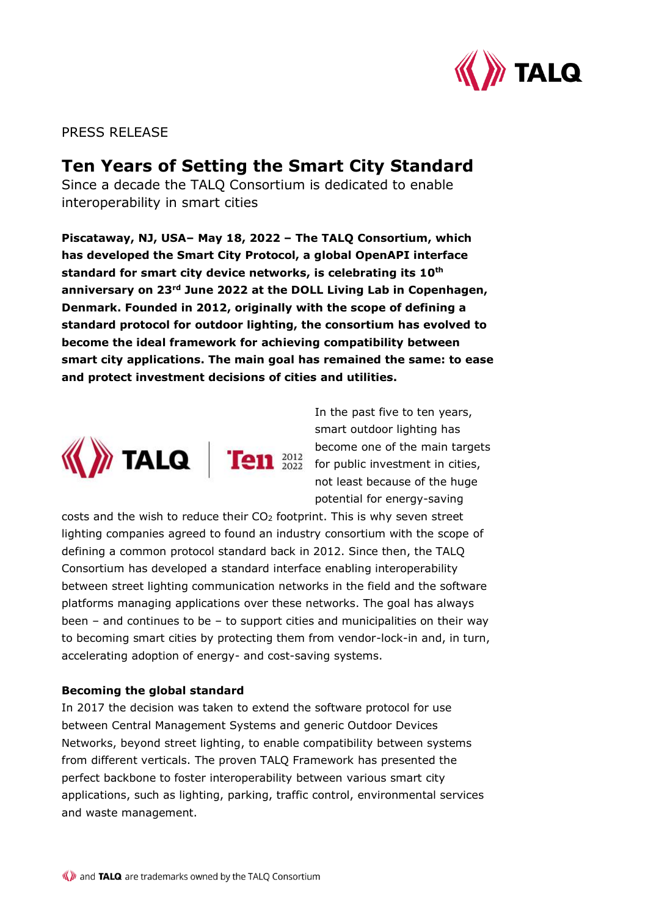

PRESS RELEASE

# **Ten Years of Setting the Smart City Standard**

Since a decade the TALQ Consortium is dedicated to enable interoperability in smart cities

**Piscataway, NJ, USA– May 18, 2022 – The TALQ Consortium, which has developed the Smart City Protocol, a global OpenAPI interface standard for smart city device networks, is celebrating its 10th anniversary on 23rd June 2022 at the DOLL Living Lab in Copenhagen, Denmark. Founded in 2012, originally with the scope of defining a standard protocol for outdoor lighting, the consortium has evolved to become the ideal framework for achieving compatibility between smart city applications. The main goal has remained the same: to ease and protect investment decisions of cities and utilities.**



In the past five to ten years, smart outdoor lighting has become one of the main targets for public investment in cities, not least because of the huge potential for energy-saving

costs and the wish to reduce their CO<sup>2</sup> footprint. This is why seven street lighting companies agreed to found an industry consortium with the scope of defining a common protocol standard back in 2012. Since then, the TALQ Consortium has developed a standard interface enabling interoperability between street lighting communication networks in the field and the software platforms managing applications over these networks. The goal has always been – and continues to be – to support cities and municipalities on their way to becoming smart cities by protecting them from vendor-lock-in and, in turn, accelerating adoption of energy- and cost-saving systems.

# **Becoming the global standard**

In 2017 the decision was taken to extend the software protocol for use between Central Management Systems and generic Outdoor Devices Networks, beyond street lighting, to enable compatibility between systems from different verticals. The proven TALQ Framework has presented the perfect backbone to foster interoperability between various smart city applications, such as lighting, parking, traffic control, environmental services and waste management.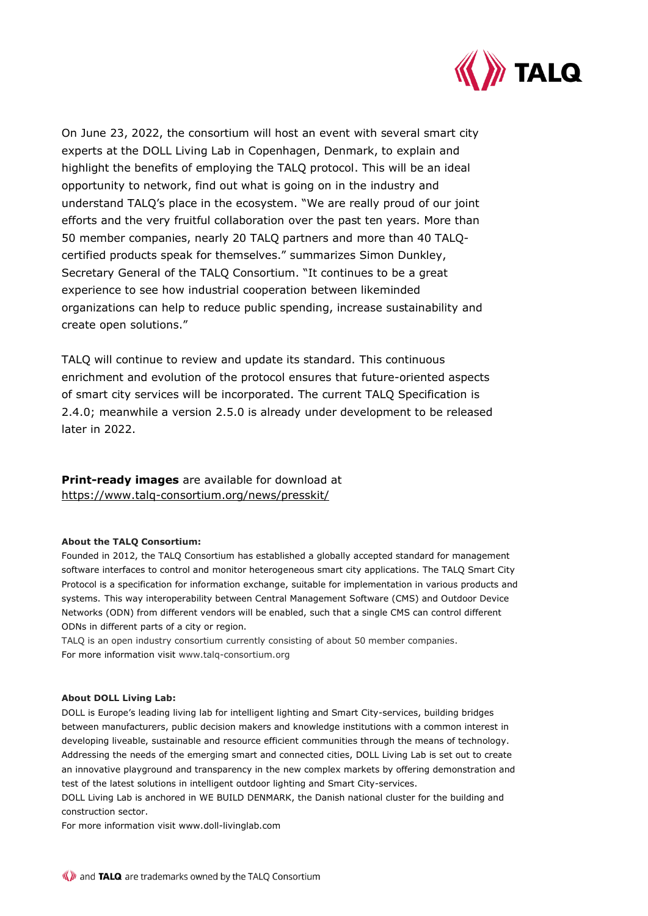

On June 23, 2022, the consortium will host an event with several smart city experts at the DOLL Living Lab in Copenhagen, Denmark, to explain and highlight the benefits of employing the TALQ protocol. This will be an ideal opportunity to network, find out what is going on in the industry and understand TALQ's place in the ecosystem. "We are really proud of our joint efforts and the very fruitful collaboration over the past ten years. More than 50 member companies, nearly 20 TALQ partners and more than 40 TALQcertified products speak for themselves." summarizes Simon Dunkley, Secretary General of the TALQ Consortium. "It continues to be a great experience to see how industrial cooperation between likeminded organizations can help to reduce public spending, increase sustainability and create open solutions."

TALQ will continue to review and update its standard. This continuous enrichment and evolution of the protocol ensures that future-oriented aspects of smart city services will be incorporated. The current TALQ Specification is 2.4.0; meanwhile a version 2.5.0 is already under development to be released later in 2022.

**Print-ready images** are available for download at https://www.talq-consortium.org/news/presskit/

## **About the TALQ Consortium:**

Founded in 2012, the TALQ Consortium has established a globally accepted standard for management software interfaces to control and monitor heterogeneous smart city applications. The TALQ Smart City Protocol is a specification for information exchange, suitable for implementation in various products and systems. This way interoperability between Central Management Software (CMS) and Outdoor Device Networks (ODN) from different vendors will be enabled, such that a single CMS can control different ODNs in different parts of a city or region.

TALQ is an open industry consortium currently consisting of about 50 member companies. For more information visit www.talq-consortium.org

### **About DOLL Living Lab:**

DOLL is Europe's leading living lab for intelligent lighting and Smart City-services, building bridges between manufacturers, public decision makers and knowledge institutions with a common interest in developing liveable, sustainable and resource efficient communities through the means of technology. Addressing the needs of the emerging smart and connected cities, DOLL Living Lab is set out to create an innovative playground and transparency in the new complex markets by offering demonstration and test of the latest solutions in intelligent outdoor lighting and Smart City-services.

DOLL Living Lab is anchored in WE BUILD DENMARK, the Danish national cluster for the building and construction sector.

For more information visit www.doll-livinglab.com